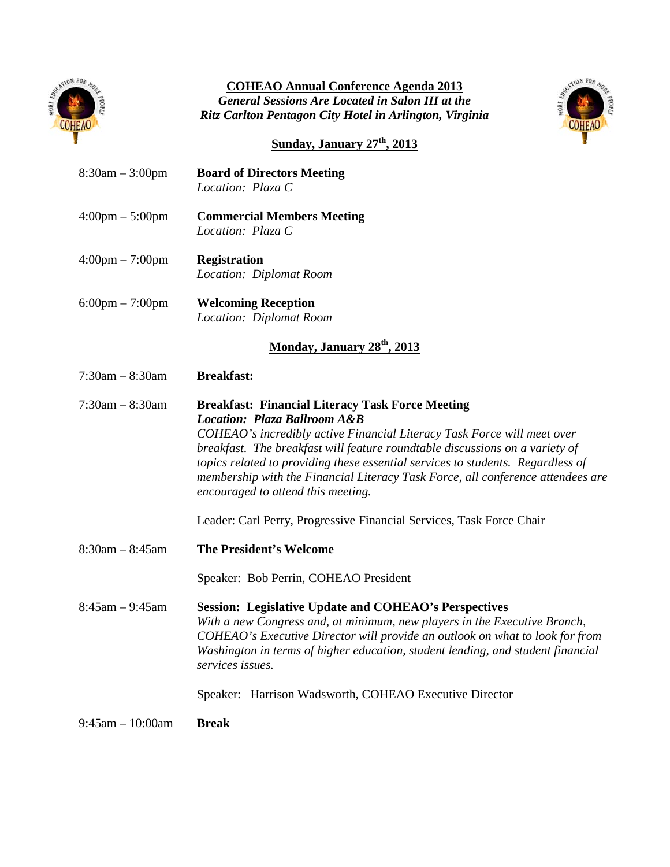

## **COHEAO Annual Conference Agenda 2013** *General Sessions Are Located in Salon III at the Ritz Carlton Pentagon City Hotel in Arlington, Virginia*



# **Sunday, January 27th, 2013**

| $8:30am - 3:00pm$                 | <b>Board of Directors Meeting</b><br>Location: Plaza C                                                                                                                                                                                                                                                                                                                                                                                                                                                                                            |
|-----------------------------------|---------------------------------------------------------------------------------------------------------------------------------------------------------------------------------------------------------------------------------------------------------------------------------------------------------------------------------------------------------------------------------------------------------------------------------------------------------------------------------------------------------------------------------------------------|
| $4:00 \text{pm} - 5:00 \text{pm}$ | <b>Commercial Members Meeting</b><br>Location: Plaza C                                                                                                                                                                                                                                                                                                                                                                                                                                                                                            |
| $4:00 \text{pm} - 7:00 \text{pm}$ | <b>Registration</b><br>Location: Diplomat Room                                                                                                                                                                                                                                                                                                                                                                                                                                                                                                    |
| $6:00 \text{pm} - 7:00 \text{pm}$ | <b>Welcoming Reception</b><br>Location: Diplomat Room                                                                                                                                                                                                                                                                                                                                                                                                                                                                                             |
|                                   | Monday, January 28 <sup>th</sup> , 2013                                                                                                                                                                                                                                                                                                                                                                                                                                                                                                           |
| $7:30am - 8:30am$                 | <b>Breakfast:</b>                                                                                                                                                                                                                                                                                                                                                                                                                                                                                                                                 |
| $7:30am - 8:30am$                 | <b>Breakfast: Financial Literacy Task Force Meeting</b><br><b>Location: Plaza Ballroom A&amp;B</b><br>COHEAO's incredibly active Financial Literacy Task Force will meet over<br>breakfast. The breakfast will feature roundtable discussions on a variety of<br>topics related to providing these essential services to students. Regardless of<br>membership with the Financial Literacy Task Force, all conference attendees are<br>encouraged to attend this meeting.<br>Leader: Carl Perry, Progressive Financial Services, Task Force Chair |
| $8:30am - 8:45am$                 | <b>The President's Welcome</b>                                                                                                                                                                                                                                                                                                                                                                                                                                                                                                                    |
|                                   | Speaker: Bob Perrin, COHEAO President                                                                                                                                                                                                                                                                                                                                                                                                                                                                                                             |
| $8:45am - 9:45am$                 | <b>Session: Legislative Update and COHEAO's Perspectives</b><br>With a new Congress and, at minimum, new players in the Executive Branch,<br>COHEAO's Executive Director will provide an outlook on what to look for from<br>Washington in terms of higher education, student lending, and student financial<br>services issues.                                                                                                                                                                                                                  |
|                                   | Speaker: Harrison Wadsworth, COHEAO Executive Director                                                                                                                                                                                                                                                                                                                                                                                                                                                                                            |
| $9:45$ am $-10:00$ am             | <b>Break</b>                                                                                                                                                                                                                                                                                                                                                                                                                                                                                                                                      |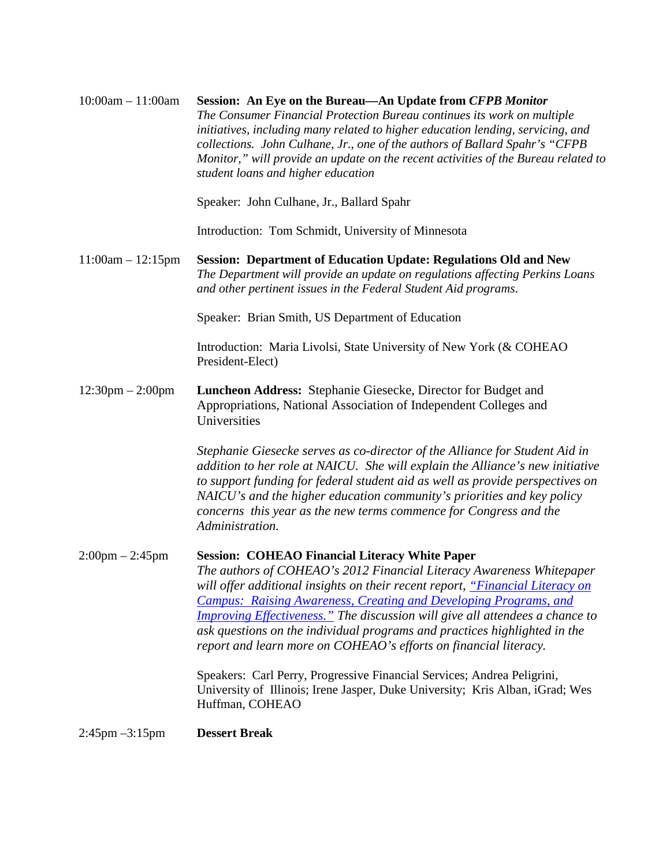| $10:00am - 11:00am$                | Session: An Eye on the Bureau-An Update from CFPB Monitor<br>The Consumer Financial Protection Bureau continues its work on multiple<br>initiatives, including many related to higher education lending, servicing, and<br>collections. John Culhane, Jr., one of the authors of Ballard Spahr's "CFPB<br>Monitor," will provide an update on the recent activities of the Bureau related to<br>student loans and higher education                                                                                          |
|------------------------------------|-----------------------------------------------------------------------------------------------------------------------------------------------------------------------------------------------------------------------------------------------------------------------------------------------------------------------------------------------------------------------------------------------------------------------------------------------------------------------------------------------------------------------------|
|                                    | Speaker: John Culhane, Jr., Ballard Spahr                                                                                                                                                                                                                                                                                                                                                                                                                                                                                   |
|                                    | Introduction: Tom Schmidt, University of Minnesota                                                                                                                                                                                                                                                                                                                                                                                                                                                                          |
| $11:00am - 12:15pm$                | Session: Department of Education Update: Regulations Old and New<br>The Department will provide an update on regulations affecting Perkins Loans<br>and other pertinent issues in the Federal Student Aid programs.                                                                                                                                                                                                                                                                                                         |
|                                    | Speaker: Brian Smith, US Department of Education                                                                                                                                                                                                                                                                                                                                                                                                                                                                            |
|                                    | Introduction: Maria Livolsi, State University of New York (& COHEAO<br>President-Elect)                                                                                                                                                                                                                                                                                                                                                                                                                                     |
| $12:30 \text{pm} - 2:00 \text{pm}$ | Luncheon Address: Stephanie Giesecke, Director for Budget and<br>Appropriations, National Association of Independent Colleges and<br>Universities                                                                                                                                                                                                                                                                                                                                                                           |
|                                    | Stephanie Giesecke serves as co-director of the Alliance for Student Aid in<br>addition to her role at NAICU. She will explain the Alliance's new initiative<br>to support funding for federal student aid as well as provide perspectives on<br>NAICU's and the higher education community's priorities and key policy<br>concerns this year as the new terms commence for Congress and the<br>Administration.                                                                                                             |
| $2:00 \text{pm} - 2:45 \text{pm}$  | <b>Session: COHEAO Financial Literacy White Paper</b><br>The authors of COHEAO's 2012 Financial Literacy Awareness Whitepaper<br>will offer additional insights on their recent report, "Financial Literacy on<br>Campus: Raising Awareness, Creating and Developing Programs, and<br><b>Improving Effectiveness.</b> " The discussion will give all attendees a chance to<br>ask questions on the individual programs and practices highlighted in the<br>report and learn more on COHEAO's efforts on financial literacy. |
|                                    | Speakers: Carl Perry, Progressive Financial Services; Andrea Peligrini,<br>University of Illinois; Irene Jasper, Duke University; Kris Alban, iGrad; Wes<br>Huffman, COHEAO                                                                                                                                                                                                                                                                                                                                                 |
| $2:45 \text{pm} -3:15 \text{pm}$   | <b>Dessert Break</b>                                                                                                                                                                                                                                                                                                                                                                                                                                                                                                        |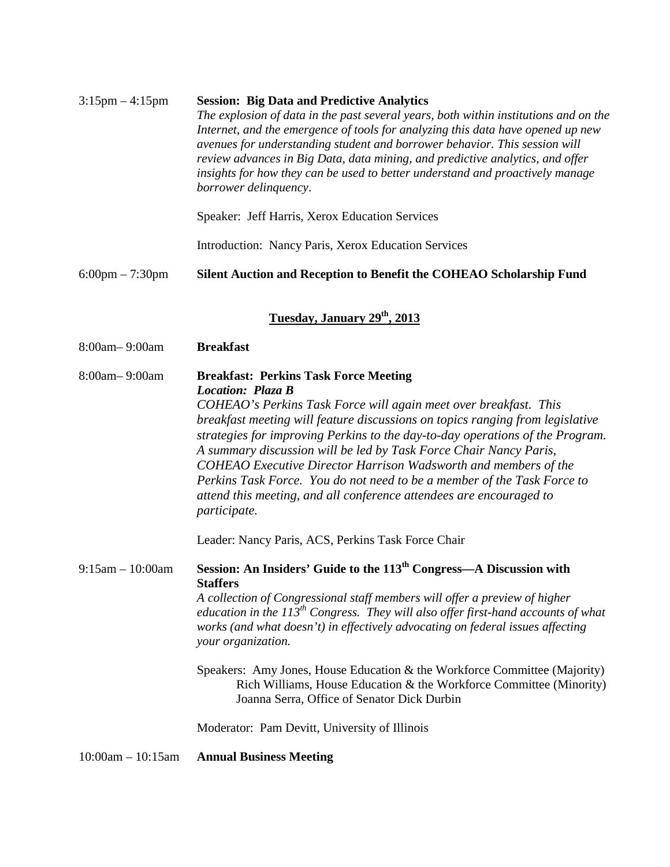| $3:15$ pm $-4:15$ pm              | <b>Session: Big Data and Predictive Analytics</b><br>The explosion of data in the past several years, both within institutions and on the<br>Internet, and the emergence of tools for analyzing this data have opened up new<br>avenues for understanding student and borrower behavior. This session will<br>review advances in Big Data, data mining, and predictive analytics, and offer<br>insights for how they can be used to better understand and proactively manage<br>borrower delinquency.                                                                                                                                                                                        |
|-----------------------------------|----------------------------------------------------------------------------------------------------------------------------------------------------------------------------------------------------------------------------------------------------------------------------------------------------------------------------------------------------------------------------------------------------------------------------------------------------------------------------------------------------------------------------------------------------------------------------------------------------------------------------------------------------------------------------------------------|
|                                   | Speaker: Jeff Harris, Xerox Education Services                                                                                                                                                                                                                                                                                                                                                                                                                                                                                                                                                                                                                                               |
|                                   | Introduction: Nancy Paris, Xerox Education Services                                                                                                                                                                                                                                                                                                                                                                                                                                                                                                                                                                                                                                          |
| $6:00 \text{pm} - 7:30 \text{pm}$ | Silent Auction and Reception to Benefit the COHEAO Scholarship Fund                                                                                                                                                                                                                                                                                                                                                                                                                                                                                                                                                                                                                          |
|                                   | Tuesday, January 29 <sup>th</sup> , 2013                                                                                                                                                                                                                                                                                                                                                                                                                                                                                                                                                                                                                                                     |
| 8:00am-9:00am                     | <b>Breakfast</b>                                                                                                                                                                                                                                                                                                                                                                                                                                                                                                                                                                                                                                                                             |
| 8:00am-9:00am                     | <b>Breakfast: Perkins Task Force Meeting</b><br>Location: Plaza B<br>COHEAO's Perkins Task Force will again meet over breakfast. This<br>breakfast meeting will feature discussions on topics ranging from legislative<br>strategies for improving Perkins to the day-to-day operations of the Program.<br>A summary discussion will be led by Task Force Chair Nancy Paris,<br><b>COHEAO</b> Executive Director Harrison Wadsworth and members of the<br>Perkins Task Force. You do not need to be a member of the Task Force to<br>attend this meeting, and all conference attendees are encouraged to<br><i>participate.</i>                                                              |
| $9:15am - 10:00am$                | Leader: Nancy Paris, ACS, Perkins Task Force Chair<br>Session: An Insiders' Guide to the 113 <sup>th</sup> Congress—A Discussion with<br><b>Staffers</b><br>A collection of Congressional staff members will offer a preview of higher<br>education in the $113^{th}$ Congress. They will also offer first-hand accounts of what<br>works (and what doesn't) in effectively advocating on federal issues affecting<br>your organization.<br>Speakers: Amy Jones, House Education & the Workforce Committee (Majority)<br>Rich Williams, House Education & the Workforce Committee (Minority)<br>Joanna Serra, Office of Senator Dick Durbin<br>Moderator: Pam Devitt, University of Illinois |
| $10:00am - 10:15am$               | <b>Annual Business Meeting</b>                                                                                                                                                                                                                                                                                                                                                                                                                                                                                                                                                                                                                                                               |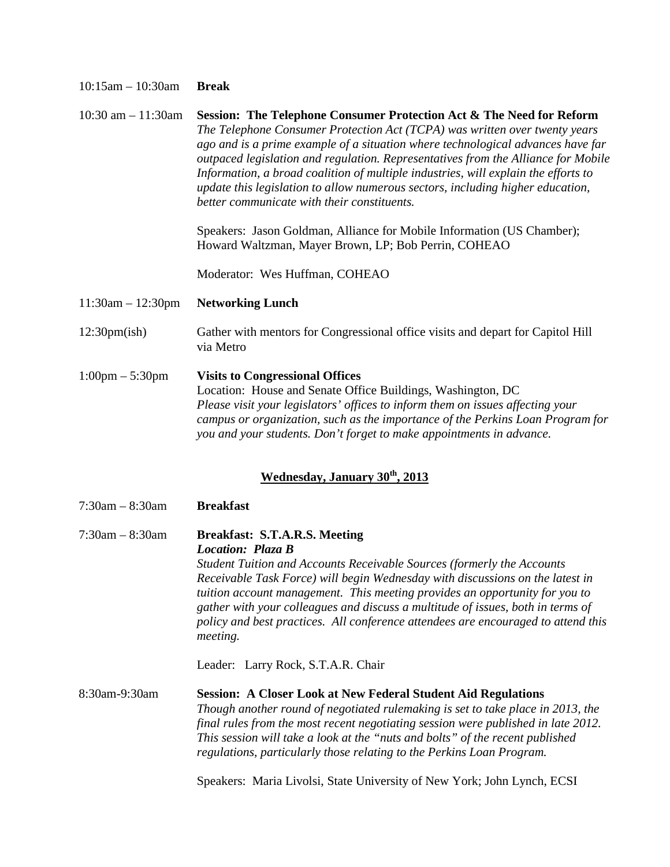#### 10:15am – 10:30am **Break**

10:30 am – 11:30am **Session: The Telephone Consumer Protection Act & The Need for Reform** *The Telephone Consumer Protection Act (TCPA) was written over twenty years ago and is a prime example of a situation where technological advances have far outpaced legislation and regulation. Representatives from the Alliance for Mobile Information, a broad coalition of multiple industries, will explain the efforts to update this legislation to allow numerous sectors, including higher education, better communicate with their constituents.*

> Speakers: Jason Goldman, Alliance for Mobile Information (US Chamber); Howard Waltzman, Mayer Brown, LP; Bob Perrin, COHEAO

Moderator: Wes Huffman, COHEAO

- 11:30am 12:30pm **Networking Lunch**
- 12:30pm(ish) Gather with mentors for Congressional office visits and depart for Capitol Hill via Metro
- 1:00pm 5:30pm **Visits to Congressional Offices** Location: House and Senate Office Buildings, Washington, DC *Please visit your legislators' offices to inform them on issues affecting your campus or organization, such as the importance of the Perkins Loan Program for you and your students. Don't forget to make appointments in advance.*

### **Wednesday, January 30th, 2013**

- 7:30am 8:30am **Breakfast**
- 7:30am 8:30am **Breakfast: S.T.A.R.S. Meeting** *Location: Plaza B Student Tuition and Accounts Receivable Sources (formerly the Accounts Receivable Task Force) will begin Wednesday with discussions on the latest in tuition account management. This meeting provides an opportunity for you to gather with your colleagues and discuss a multitude of issues, both in terms of policy and best practices. All conference attendees are encouraged to attend this meeting.*

Leader: Larry Rock, S.T.A.R. Chair

8:30am-9:30am **Session: A Closer Look at New Federal Student Aid Regulations** *Though another round of negotiated rulemaking is set to take place in 2013, the final rules from the most recent negotiating session were published in late 2012. This session will take a look at the "nuts and bolts" of the recent published regulations, particularly those relating to the Perkins Loan Program.*

Speakers: Maria Livolsi, State University of New York; John Lynch, ECSI